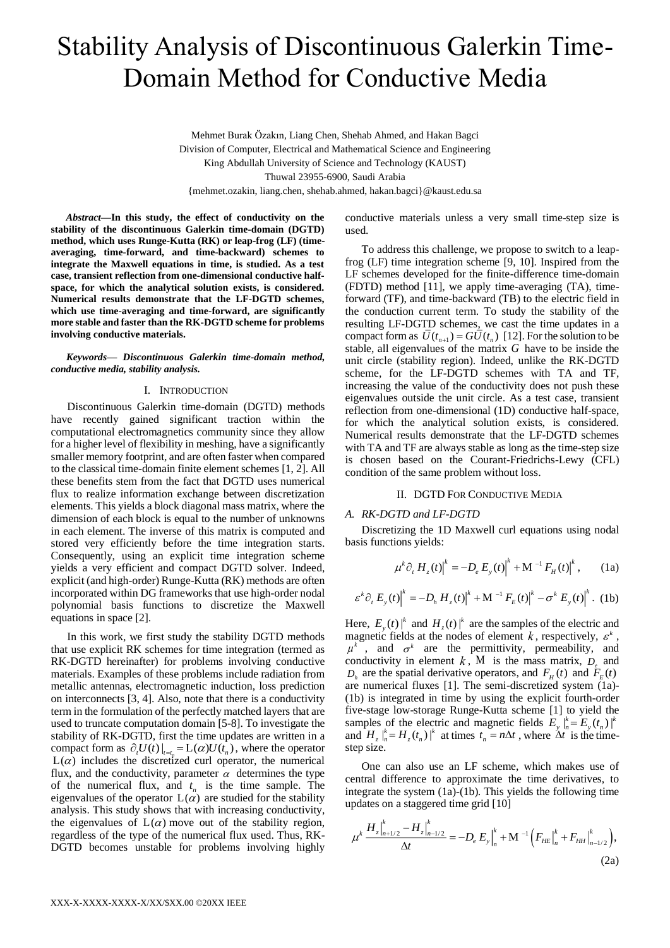# Stability Analysis of Discontinuous Galerkin Time-Domain Method for Conductive Media

Mehmet Burak Özakın, Liang Chen, Shehab Ahmed, and Hakan Bagci Division of Computer, Electrical and Mathematical Science and Engineering King Abdullah University of Science and Technology (KAUST) Thuwal 23955-6900, Saudi Arabia {mehmet.ozakin, liang.chen, shehab.ahmed, hakan.bagci}@kaust.edu.sa

*Abstract***—In this study, the effect of conductivity on the stability of the discontinuous Galerkin time-domain (DGTD) method, which uses Runge-Kutta (RK) or leap-frog (LF) (timeaveraging, time-forward, and time-backward) schemes to integrate the Maxwell equations in time, is studied. As a test case, transient reflection from one-dimensional conductive halfspace, for which the analytical solution exists, is considered. Numerical results demonstrate that the LF-DGTD schemes, which use time-averaging and time-forward, are significantly more stable and faster than the RK-DGTD scheme for problems involving conductive materials.**

*Keywords— Discontinuous Galerkin time-domain method, conductive media, stability analysis.*

#### I. INTRODUCTION

Discontinuous Galerkin time-domain (DGTD) methods have recently gained significant traction within the computational electromagnetics community since they allow for a higher level of flexibility in meshing, have a significantly smaller memory footprint, and are often faster when compared to the classical time-domain finite element schemes [1, 2]. All these benefits stem from the fact that DGTD uses numerical flux to realize information exchange between discretization elements. This yields a block diagonal mass matrix, where the dimension of each block is equal to the number of unknowns in each element. The inverse of this matrix is computed and stored very efficiently before the time integration starts. Consequently, using an explicit time integration scheme yields a very efficient and compact DGTD solver. Indeed, explicit (and high-order) Runge-Kutta (RK) methods are often incorporated within DG frameworks that use high-order nodal polynomial basis functions to discretize the Maxwell equations in space [2].

In this work, we first study the stability DGTD methods that use explicit RK schemes for time integration (termed as RK-DGTD hereinafter) for problems involving conductive materials. Examples of these problems include radiation from metallic antennas, electromagnetic induction, loss prediction on interconnects [3, 4]. Also, note that there is a conductivity term in the formulation of the perfectly matched layers that are used to truncate computation domain [5-8]. To investigate the stability of RK-DGTD, first the time updates are written in a compact form as  $\partial_t U(t)|_{t=t} = L(\alpha)U(t_n)$ , where the operator  $L(\alpha)$  includes the discretized curl operator, the numerical flux, and the conductivity, parameter  $\alpha$  determines the type of the numerical flux, and  $t_n$  is the time sample. The eigenvalues of the operator  $L(\alpha)$  are studied for the stability analysis. This study shows that with increasing conductivity, the eigenvalues of  $L(\alpha)$  move out of the stability region, regardless of the type of the numerical flux used. Thus, RK-DGTD becomes unstable for problems involving highly

conductive materials unless a very small time-step size is used.

To address this challenge, we propose to switch to a leapfrog (LF) time integration scheme [9, 10]. Inspired from the LF schemes developed for the finite-difference time-domain (FDTD) method [11], we apply time-averaging (TA), timeforward (TF), and time-backward (TB) to the electric field in the conduction current term. To study the stability of the resulting LF-DGTD schemes, we cast the time updates in a compact form as  $U(t_{n+1}) = GU(t_n)$  [12]. For the solution to be stable, all eigenvalues of the matrix *G* have to be inside the unit circle (stability region). Indeed, unlike the RK-DGTD scheme, for the LF-DGTD schemes with TA and TF, increasing the value of the conductivity does not push these eigenvalues outside the unit circle. As a test case, transient reflection from one-dimensional (1D) conductive half-space, for which the analytical solution exists, is considered. Numerical results demonstrate that the LF-DGTD schemes with TA and TF are always stable as long as the time-step size is chosen based on the Courant-Friedrichs-Lewy (CFL) condition of the same problem without loss.

## II. DGTD FOR CONDUCTIVE MEDIA

#### *A. RK-DGTD and LF-DGTD*

Discretizing the 1D Maxwell curl equations using nodal basis functions yields:

$$
\mu^{k} \partial_{t} H_{z}(t) \Big|^{k} = -D_{e} E_{y}(t) \Big|^{k} + M^{-1} F_{H}(t) \Big|^{k} , \qquad (1a)
$$

$$
\varepsilon^{k} \partial_{t} E_{y}(t) \Big|^{k} = -D_{h} H_{z}(t) \Big|^{k} + M^{-1} F_{E}(t) \Big|^{k} - \sigma^{k} E_{y}(t) \Big|^{k}. (1b)
$$

Here,  $E_y(t) \rvert^k$  and  $H_z(t) \rvert^k$  are the samples of the electric and magnetic fields at the nodes of element k, respectively,  $\varepsilon^k$ ,  $\mu^k$ , and  $\sigma^k$  are the permittivity, permeability, and conductivity in element  $k$ , M is the mass matrix,  $D_e$  and  $D_h$  are the spatial derivative operators, and  $F_H(t)$  and  $F_E(t)$ are numerical fluxes [1]. The semi-discretized system (1a)- (1b) is integrated in time by using the explicit fourth-order five-stage low-storage Runge-Kutta scheme [1] to yield the samples of the electric and magnetic fields  $E_y \big|_n^k = E_y(t_n) \big|_n^k$ and  $H_z|_n^k = H_z(t_n)|^k$  at times  $t_n = n\Delta t$ , where  $\Delta t$  is the timestep size.

One can also use an LF scheme, which makes use of central difference to approximate the time derivatives, to integrate the system (1a)-(1b). This yields the following time updates on a staggered time grid [10]

$$
\mu^{k} \frac{H_{z}|_{n+1/2}^{k} - H_{z}|_{n-1/2}^{k}}{\Delta t} = -D_{e} E_{y}|_{n}^{k} + M^{-1} \Big( F_{HE}|_{n}^{k} + F_{HH}|_{n-1/2}^{k} \Big), \tag{2a}
$$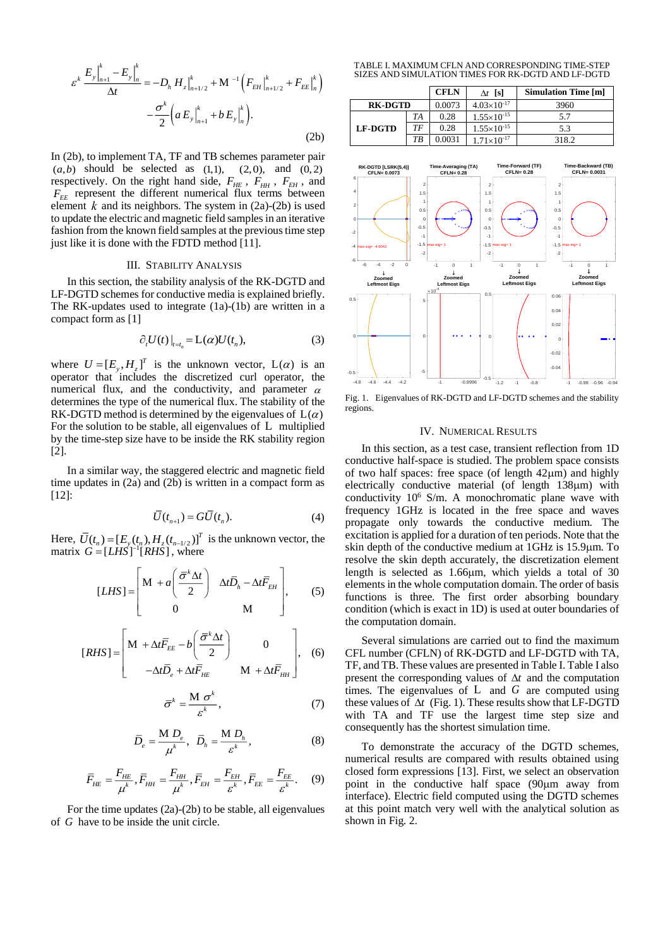$$
\varepsilon^{k} \frac{E_{y}|_{n+1}^{k} - E_{y}|_{n}^{k}}{\Delta t} = -D_{h} H_{z}|_{n+1/2}^{k} + M^{-1} \left( F_{EH}|_{n+1/2}^{k} + F_{EE}|_{n}^{k} \right) - \frac{\sigma^{k}}{2} \left( a E_{y}|_{n+1}^{k} + b E_{y}|_{n}^{k} \right). \tag{2b}
$$

In (2b), to implement TA, TF and TB schemes parameter pair  $(a,b)$  should be selected as  $(1,1)$ ,  $(2,0)$ , and  $(0,2)$ respectively. On the right hand side,  $F_{HE}$ ,  $F_{HH}$ ,  $F_{EH}$ , and  $F_{EE}$  represent the different numerical flux terms between element  $k$  and its neighbors. The system in  $(2a)-(2b)$  is used to update the electric and magnetic field samples in an iterative fashion from the known field samples at the previous time step just like it is done with the FDTD method [11].

## III. STABILITY ANALYSIS

In this section, the stability analysis of the RK-DGTD and LF-DGTD schemes for conductive media is explained briefly. The RK-updates used to integrate (1a)-(1b) are written in a compact form as [1]

$$
\partial_t U(t)\big|_{t=t_n} = L(\alpha)U(t_n),\tag{3}
$$

where  $U = [E_{v}, H_{v}]^{T}$  is the unknown vector,  $L(\alpha)$  is an  $\frac{1}{2}$  operator that includes the discretized curl operator, the numerical flux, and the conductivity, and parameter  $\alpha$ determines the type of the numerical flux. The stability of the RK-DGTD method is determined by the eigenvalues of  $L(\alpha)$ For the solution to be stable, all eigenvalues of L multiplied by the time-step size have to be inside the RK stability region [2].

In a similar way, the staggered electric and magnetic field time updates in (2a) and (2b) is written in a compact form as [12]:

$$
\overline{U}(t_{n+1}) = G\overline{U}(t_n). \tag{4}
$$

Here,  $\overline{U}(t_n) = [E_y(t_n), H_z(t_{n-1/2})]^T$  is the unknown vector, the matrix  $G = [LHS]^{-1}[RH\ddot{S}]$ , where

$$
[LHS] = \begin{bmatrix} M + a \left( \frac{\overline{\sigma}^k \Delta t}{2} \right) & \Delta t \overline{D}_h - \Delta t \overline{F}_{EH} \\ 0 & M \end{bmatrix}, \qquad (5)
$$

$$
[RHS] = \begin{bmatrix} M + \Delta t \overline{F}_{EE} - b \left( \frac{\overline{\sigma}^k \Delta t}{2} \right) & 0 \\ -\Delta t \overline{D}_e + \Delta t \overline{F}_{HE} & M + \Delta t \overline{F}_{HH} \end{bmatrix}, \quad (6)
$$

$$
k = \frac{\mathbf{M} \sigma^k}{\varepsilon^k},\tag{7}
$$

$$
\overline{D}_e = \frac{\mathbf{M} \ D_e}{\mu^k}, \ \ \overline{D}_h = \frac{\mathbf{M} \ D_h}{\varepsilon^k}, \tag{8}
$$

$$
\overline{F}_{HE} = \frac{F_{HE}}{\mu^k}, \overline{F}_{HH} = \frac{F_{HH}}{\mu^k}, \overline{F}_{EH} = \frac{F_{EH}}{\varepsilon^k}, \overline{F}_{EE} = \frac{F_{EE}}{\varepsilon^k}.
$$
 (9)

For the time updates (2a)-(2b) to be stable, all eigenvalues of *G* have to be inside the unit circle.

 $\bar{\sigma}$ 

TABLE I. MAXIMUM CFLN AND CORRESPONDING TIME-STEP SIZES AND SIMULATION TIMES FOR RK-DGTD AND LF-DGTD

|                |    | <b>CFLN</b> | $\Delta t$ [s]         | <b>Simulation Time [m]</b> |
|----------------|----|-------------|------------------------|----------------------------|
| <b>RK-DGTD</b> |    | 0.0073      | $4.03\times10^{-17}$   | 3960                       |
| <b>LF-DGTD</b> | TA | 0.28        | $1.55 \times 10^{-15}$ | 5.7                        |
|                | TF | 0.28        | $1.55\times10^{-15}$   | 5.3                        |
|                | ТB | 0.0031      | $1.71\times10^{-17}$   | 318.2                      |



Fig. 1. Eigenvalues of RK-DGTD and LF-DGTD schemes and the stability regions.

#### IV. NUMERICAL RESULTS

In this section, as a test case, transient reflection from 1D conductive half-space is studied. The problem space consists of two half spaces: free space (of length  $42\mu$ m) and highly electrically conductive material (of length  $138\mu$ m) with conductivity 10<sup>6</sup> S/m. A monochromatic plane wave with frequency 1GHz is located in the free space and waves propagate only towards the conductive medium. The excitation is applied for a duration of ten periods. Note that the skin depth of the conductive medium at 1GHz is 15.9µm. To resolve the skin depth accurately, the discretization element length is selected as  $1.66 \mu m$ , which yields a total of 30 elements in the whole computation domain. The order of basis functions is three. The first order absorbing boundary condition (which is exact in 1D) is used at outer boundaries of the computation domain.

Several simulations are carried out to find the maximum CFL number (CFLN) of RK-DGTD and LF-DGTD with TA, TF, and TB. These values are presented in Table I. Table I also present the corresponding values of  $\Delta t$  and the computation times. The eigenvalues of  $L$  and  $G$  are computed using these values of  $\Delta t$  (Fig. 1). These results show that LF-DGTD with TA and TF use the largest time step size and consequently has the shortest simulation time.

To demonstrate the accuracy of the DGTD schemes, numerical results are compared with results obtained using closed form expressions [13]. First, we select an observation point in the conductive half space  $(90 \mu m)$  away from interface). Electric field computed using the DGTD schemes at this point match very well with the analytical solution as shown in Fig. 2.